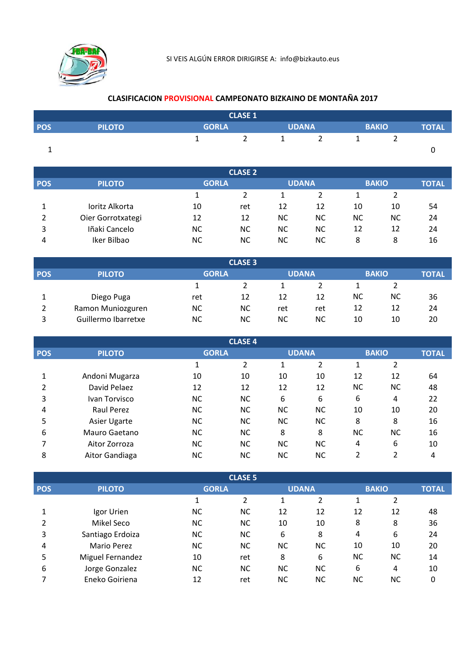

## CLASIFICACION PROVISIONAL CAMPEONATO BIZKAINO DE MONTAÑA 2017

|            |               | <b>CLASE 1</b> |  |              |  |              |       |
|------------|---------------|----------------|--|--------------|--|--------------|-------|
|            |               |                |  |              |  |              | TOTAL |
| <b>POS</b> | <b>PILOTO</b> | <b>GORLA</b>   |  | <b>UDANA</b> |  | <b>BAKIO</b> |       |
|            |               |                |  |              |  |              |       |
|            |               |                |  | ∸            |  | _            |       |
|            |               |                |  |              |  |              |       |

| <b>CLASE 2</b> |                   |              |           |              |           |              |           |              |  |  |  |
|----------------|-------------------|--------------|-----------|--------------|-----------|--------------|-----------|--------------|--|--|--|
| <b>POS</b>     | <b>PILOTO</b>     | <b>GORLA</b> |           | <b>UDANA</b> |           | <b>BAKIO</b> |           | <b>TOTAL</b> |  |  |  |
|                |                   |              |           |              |           |              |           |              |  |  |  |
|                | Ioritz Alkorta    | 10           | ret       | 12           | 12        | 10           | 10        | 54           |  |  |  |
|                | Oier Gorrotxategi | 12           | 12        | <b>NC</b>    | <b>NC</b> | <b>NC</b>    | <b>NC</b> | 24           |  |  |  |
| 3              | Iñaki Cancelo     | NС           | <b>NC</b> | <b>NC</b>    | ΝC        | 12           | 12        | 24           |  |  |  |
| 4              | Iker Bilbao       | NС           | <b>NC</b> | <b>NC</b>    | <b>NC</b> | 8            | 8         | 16           |  |  |  |

| <b>CLASE 3</b> |                     |              |           |           |              |           |              |    |  |  |
|----------------|---------------------|--------------|-----------|-----------|--------------|-----------|--------------|----|--|--|
| <b>POS</b>     | <b>PILOTO</b>       | <b>GORLA</b> |           |           | <b>UDANA</b> |           | <b>BAKIO</b> |    |  |  |
|                |                     |              |           |           |              |           |              |    |  |  |
|                | Diego Puga          | ret          | 12        | 12        | 12           | <b>NC</b> | <b>NC</b>    | 36 |  |  |
|                | Ramon Muniozguren   | NC           | <b>NC</b> | ret       | ret          | 12        | 12           | 24 |  |  |
| 3              | Guillermo Ibarretxe | ΝC           | <b>NC</b> | <b>NC</b> | NС           | 10        | 10           | 20 |  |  |

|            | <b>CLASE 4</b> |              |           |           |              |           |               |              |  |  |  |  |
|------------|----------------|--------------|-----------|-----------|--------------|-----------|---------------|--------------|--|--|--|--|
| <b>POS</b> | <b>PILOTO</b>  | <b>GORLA</b> |           |           | <b>UDANA</b> |           | <b>BAKIO</b>  | <b>TOTAL</b> |  |  |  |  |
|            |                |              | 2         |           | 2            |           | 2             |              |  |  |  |  |
|            | Andoni Mugarza | 10           | 10        | 10        | 10           | 12        | 12            | 64           |  |  |  |  |
| 2          | David Pelaez   | 12           | 12        | 12        | 12           | <b>NC</b> | <b>NC</b>     | 48           |  |  |  |  |
| 3          | Ivan Torvisco  | <b>NC</b>    | <b>NC</b> | 6         | 6            | 6         | 4             | 22           |  |  |  |  |
| 4          | Raul Perez     | <b>NC</b>    | <b>NC</b> | <b>NC</b> | <b>NC</b>    | 10        | 10            | 20           |  |  |  |  |
| 5          | Asier Ugarte   | <b>NC</b>    | <b>NC</b> | <b>NC</b> | <b>NC</b>    | 8         | 8             | 16           |  |  |  |  |
| 6          | Mauro Gaetano  | <b>NC</b>    | <b>NC</b> | 8         | 8            | <b>NC</b> | <b>NC</b>     | 16           |  |  |  |  |
|            | Aitor Zorroza  | <b>NC</b>    | <b>NC</b> | <b>NC</b> | <b>NC</b>    | 4         | 6             | 10           |  |  |  |  |
| 8          | Aitor Gandiaga | <b>NC</b>    | NС        | NС        | <b>NC</b>    | 2         | $\mathcal{P}$ | 4            |  |  |  |  |

|            | <b>CLASE 5</b>     |              |           |           |              |           |              |    |  |  |  |  |
|------------|--------------------|--------------|-----------|-----------|--------------|-----------|--------------|----|--|--|--|--|
| <b>POS</b> | <b>PILOTO</b>      | <b>GORLA</b> |           |           | <b>UDANA</b> |           | <b>BAKIO</b> |    |  |  |  |  |
|            |                    |              | 2         | 1         | 2            | 1         | 2            |    |  |  |  |  |
|            | Igor Urien         | NС           | <b>NC</b> | 12        | 12           | 12        | 12           | 48 |  |  |  |  |
| 2          | Mikel Seco         | <b>NC</b>    | NC.       | 10        | 10           | 8         | 8            | 36 |  |  |  |  |
| 3          | Santiago Erdoiza   | <b>NC</b>    | <b>NC</b> | 6         | 8            | 4         | 6            | 24 |  |  |  |  |
| 4          | <b>Mario Perez</b> | <b>NC</b>    | NC.       | NС        | <b>NC</b>    | 10        | 10           | 20 |  |  |  |  |
| 5          | Miguel Fernandez   | 10           | ret       | 8         | 6            | NС        | ΝC           | 14 |  |  |  |  |
| 6          | Jorge Gonzalez     | <b>NC</b>    | NC.       | <b>NC</b> | <b>NC</b>    | 6         | 4            | 10 |  |  |  |  |
|            | Eneko Goiriena     | 12           | ret       | NС        | <b>NC</b>    | <b>NC</b> | <b>NC</b>    | 0  |  |  |  |  |